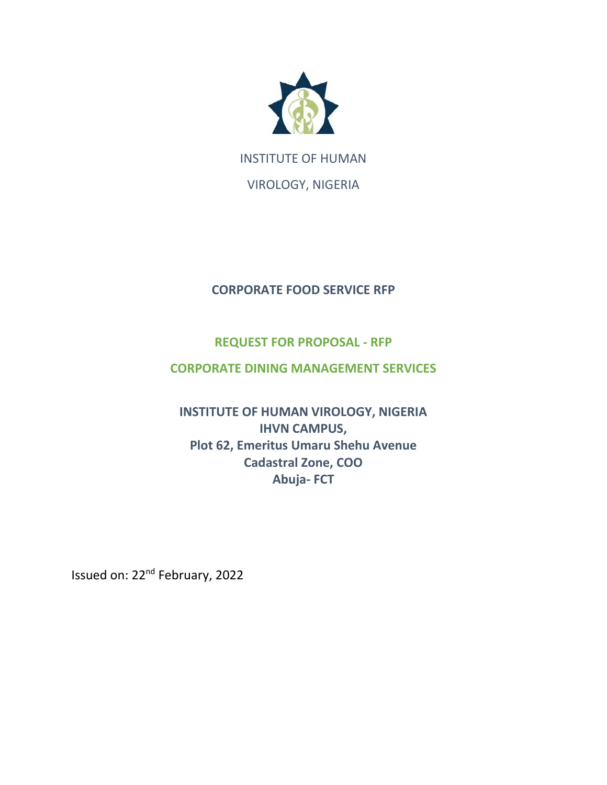

INSTITUTE OF HUMAN

VIROLOGY, NIGERIA

## **CORPORATE FOOD SERVICE RFP**

## **REQUEST FOR PROPOSAL - RFP**

### **CORPORATE DINING MANAGEMENT SERVICES**

# **INSTITUTE OF HUMAN VIROLOGY, NIGERIA IHVN CAMPUS, Plot 62, Emeritus Umaru Shehu Avenue Cadastral Zone, COO Abuja- FCT**

Issued on: 22nd February, 2022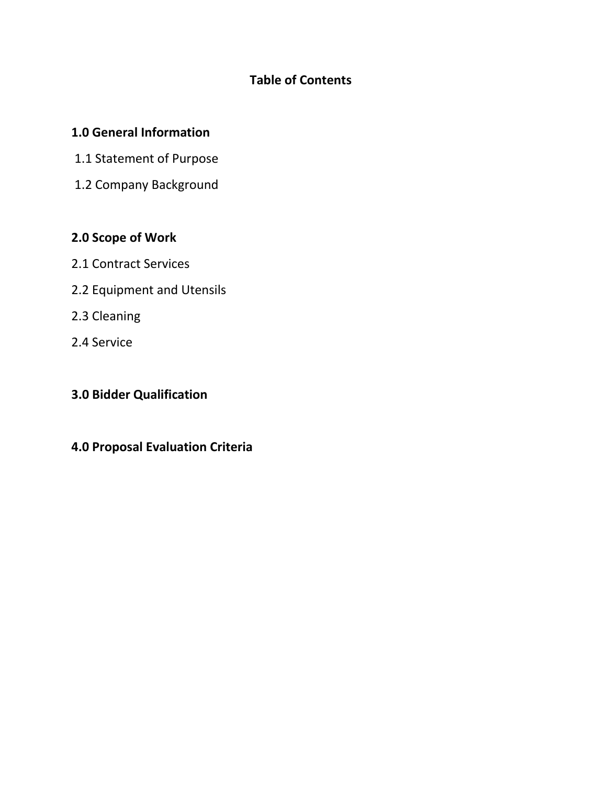# **Table of Contents**

#### **1.0 General Information**

- 1.1 Statement of Purpose
- 1.2 Company Background

### **2.0 Scope of Work**

- 2.1 Contract Services
- 2.2 Equipment and Utensils
- 2.3 Cleaning
- 2.4 Service

# **3.0 Bidder Qualification**

### **4.0 Proposal Evaluation Criteria**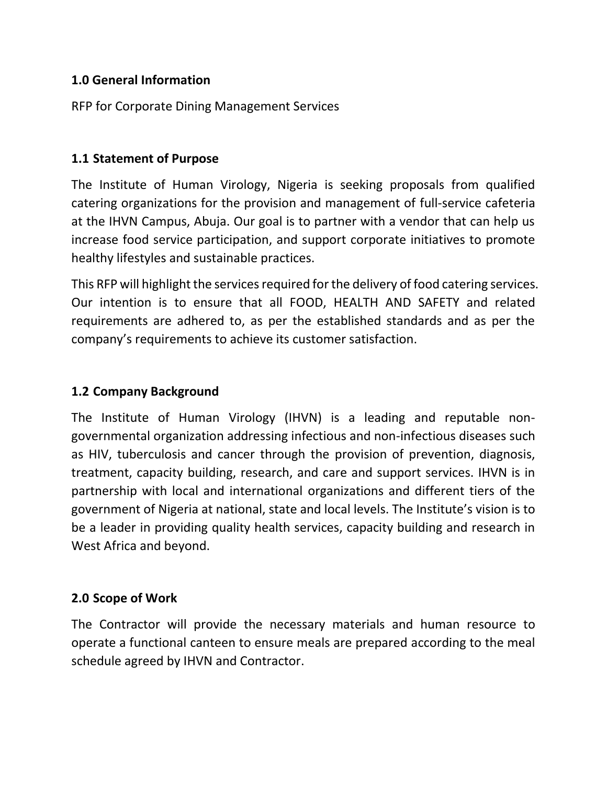### **1.0 General Information**

RFP for Corporate Dining Management Services

#### **1.1 Statement of Purpose**

The Institute of Human Virology, Nigeria is seeking proposals from qualified catering organizations for the provision and management of full-service cafeteria at the IHVN Campus, Abuja. Our goal is to partner with a vendor that can help us increase food service participation, and support corporate initiatives to promote healthy lifestyles and sustainable practices.

This RFP will highlight the services required for the delivery of food catering services. Our intention is to ensure that all FOOD, HEALTH AND SAFETY and related requirements are adhered to, as per the established standards and as per the company's requirements to achieve its customer satisfaction.

### **1.2 Company Background**

The Institute of Human Virology (IHVN) is a leading and reputable nongovernmental organization addressing infectious and non-infectious diseases such as HIV, tuberculosis and cancer through the provision of prevention, diagnosis, treatment, capacity building, research, and care and support services. IHVN is in partnership with local and international organizations and different tiers of the government of Nigeria at national, state and local levels. The Institute's vision is to be a leader in providing quality health services, capacity building and research in West Africa and beyond.

#### **2.0 Scope of Work**

The Contractor will provide the necessary materials and human resource to operate a functional canteen to ensure meals are prepared according to the meal schedule agreed by IHVN and Contractor.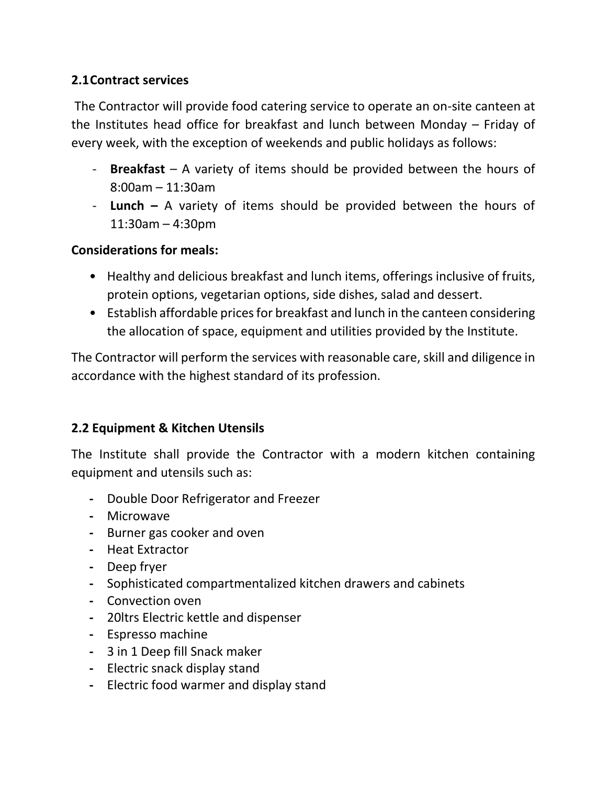## **2.1Contract services**

The Contractor will provide food catering service to operate an on-site canteen at the Institutes head office for breakfast and lunch between Monday – Friday of every week, with the exception of weekends and public holidays as follows:

- **Breakfast** A variety of items should be provided between the hours of 8:00am – 11:30am
- **Lunch –** A variety of items should be provided between the hours of 11:30am – 4:30pm

## **Considerations for meals:**

- Healthy and delicious breakfast and lunch items, offerings inclusive of fruits, protein options, vegetarian options, side dishes, salad and dessert.
- Establish affordable prices for breakfast and lunch in the canteen considering the allocation of space, equipment and utilities provided by the Institute.

The Contractor will perform the services with reasonable care, skill and diligence in accordance with the highest standard of its profession.

## **2.2 Equipment & Kitchen Utensils**

The Institute shall provide the Contractor with a modern kitchen containing equipment and utensils such as:

- **-** Double Door Refrigerator and Freezer
- **-** Microwave
- **-** Burner gas cooker and oven
- **-** Heat Extractor
- **-** Deep fryer
- **-** Sophisticated compartmentalized kitchen drawers and cabinets
- **-** Convection oven
- **-** 20ltrs Electric kettle and dispenser
- **-** Espresso machine
- **-** 3 in 1 Deep fill Snack maker
- **-** Electric snack display stand
- **-** Electric food warmer and display stand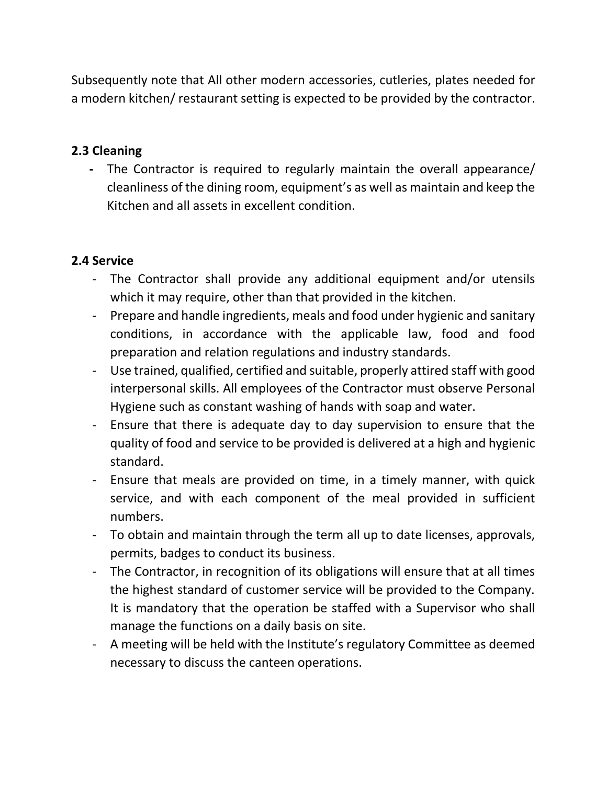Subsequently note that All other modern accessories, cutleries, plates needed for a modern kitchen/ restaurant setting is expected to be provided by the contractor.

## **2.3 Cleaning**

**-** The Contractor is required to regularly maintain the overall appearance/ cleanliness of the dining room, equipment's as well as maintain and keep the Kitchen and all assets in excellent condition.

## **2.4 Service**

- The Contractor shall provide any additional equipment and/or utensils which it may require, other than that provided in the kitchen.
- Prepare and handle ingredients, meals and food under hygienic and sanitary conditions, in accordance with the applicable law, food and food preparation and relation regulations and industry standards.
- Use trained, qualified, certified and suitable, properly attired staff with good interpersonal skills. All employees of the Contractor must observe Personal Hygiene such as constant washing of hands with soap and water.
- Ensure that there is adequate day to day supervision to ensure that the quality of food and service to be provided is delivered at a high and hygienic standard.
- Ensure that meals are provided on time, in a timely manner, with quick service, and with each component of the meal provided in sufficient numbers.
- To obtain and maintain through the term all up to date licenses, approvals, permits, badges to conduct its business.
- The Contractor, in recognition of its obligations will ensure that at all times the highest standard of customer service will be provided to the Company. It is mandatory that the operation be staffed with a Supervisor who shall manage the functions on a daily basis on site.
- A meeting will be held with the Institute's regulatory Committee as deemed necessary to discuss the canteen operations.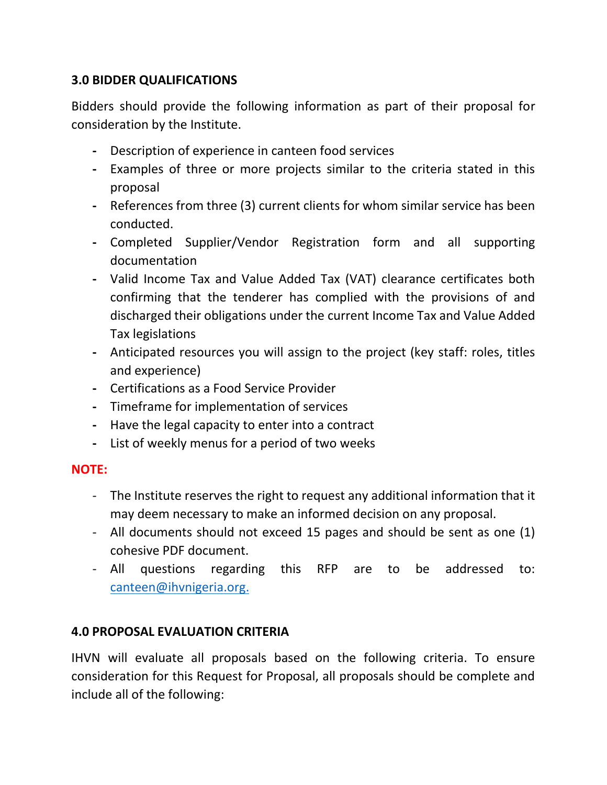## **3.0 BIDDER QUALIFICATIONS**

Bidders should provide the following information as part of their proposal for consideration by the Institute.

- **-** Description of experience in canteen food services
- **-** Examples of three or more projects similar to the criteria stated in this proposal
- **-** References from three (3) current clients for whom similar service has been conducted.
- **-** Completed Supplier/Vendor Registration form and all supporting documentation
- **-** Valid Income Tax and Value Added Tax (VAT) clearance certificates both confirming that the tenderer has complied with the provisions of and discharged their obligations under the current Income Tax and Value Added Tax legislations
- **-** Anticipated resources you will assign to the project (key staff: roles, titles and experience)
- **-** Certifications as a Food Service Provider
- **-** Timeframe for implementation of services
- **-** Have the legal capacity to enter into a contract
- **-** List of weekly menus for a period of two weeks

#### **NOTE:**

- The Institute reserves the right to request any additional information that it may deem necessary to make an informed decision on any proposal.
- All documents should not exceed 15 pages and should be sent as one (1) cohesive PDF document.
- All questions regarding this RFP are to be addressed to: [canteen@ihvnigeria.org.](mailto:canteen@ihvnigeria.org)

## **4.0 PROPOSAL EVALUATION CRITERIA**

IHVN will evaluate all proposals based on the following criteria. To ensure consideration for this Request for Proposal, all proposals should be complete and include all of the following: